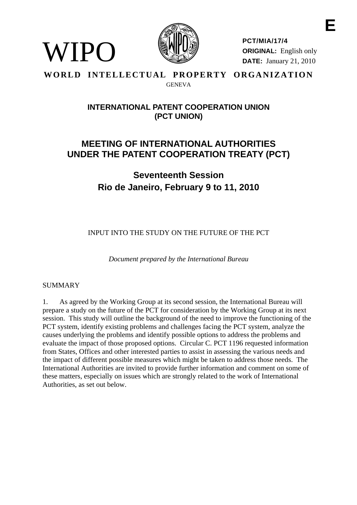

**PCT/MIA/17/4 ORIGINAL:** English only **DATE:** January 21, 2010

## **WORLD INTELLECTUAL PROPERTY ORGANIZATION GENEVA**

# **INTERNATIONAL PATENT COOPERATION UNION (PCT UNION)**

# **MEETING OF INTERNATIONAL AUTHORITIES UNDER THE PATENT COOPERATION TREATY (PCT)**

**Seventeenth Session Rio de Janeiro, February 9 to 11, 2010** 

INPUT INTO THE STUDY ON THE FUTURE OF THE PCT

*Document prepared by the International Bureau* 

## SUMMARY

WIPO

1. As agreed by the Working Group at its second session, the International Bureau will prepare a study on the future of the PCT for consideration by the Working Group at its next session. This study will outline the background of the need to improve the functioning of the PCT system, identify existing problems and challenges facing the PCT system, analyze the causes underlying the problems and identify possible options to address the problems and evaluate the impact of those proposed options. Circular C. PCT 1196 requested information from States, Offices and other interested parties to assist in assessing the various needs and the impact of different possible measures which might be taken to address those needs. The International Authorities are invited to provide further information and comment on some of these matters, especially on issues which are strongly related to the work of International Authorities, as set out below.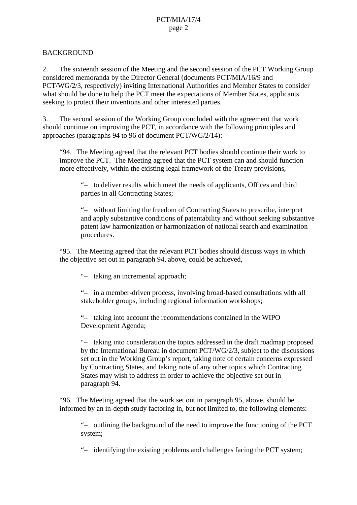## **BACKGROUND**

2. The sixteenth session of the Meeting and the second session of the PCT Working Group considered memoranda by the Director General (documents PCT/MIA/16/9 and PCT/WG/2/3, respectively) inviting International Authorities and Member States to consider what should be done to help the PCT meet the expectations of Member States, applicants seeking to protect their inventions and other interested parties.

3. The second session of the Working Group concluded with the agreement that work should continue on improving the PCT, in accordance with the following principles and approaches (paragraphs 94 to 96 of document PCT/WG/2/14):

"94. The Meeting agreed that the relevant PCT bodies should continue their work to improve the PCT. The Meeting agreed that the PCT system can and should function more effectively, within the existing legal framework of the Treaty provisions,

 "– to deliver results which meet the needs of applicants, Offices and third parties in all Contracting States;

 "– without limiting the freedom of Contracting States to prescribe, interpret and apply substantive conditions of patentability and without seeking substantive patent law harmonization or harmonization of national search and examination procedures.

"95. The Meeting agreed that the relevant PCT bodies should discuss ways in which the objective set out in paragraph 94, above, could be achieved,

"– taking an incremental approach;

 "– in a member-driven process, involving broad-based consultations with all stakeholder groups, including regional information workshops;

 "– taking into account the recommendations contained in the WIPO Development Agenda;

 "– taking into consideration the topics addressed in the draft roadmap proposed by the International Bureau in document PCT/WG/2/3, subject to the discussions set out in the Working Group's report, taking note of certain concerns expressed by Contracting States, and taking note of any other topics which Contracting States may wish to address in order to achieve the objective set out in paragraph 94.

"96. The Meeting agreed that the work set out in paragraph 95, above, should be informed by an in-depth study factoring in, but not limited to, the following elements:

 "– outlining the background of the need to improve the functioning of the PCT system;

"– identifying the existing problems and challenges facing the PCT system;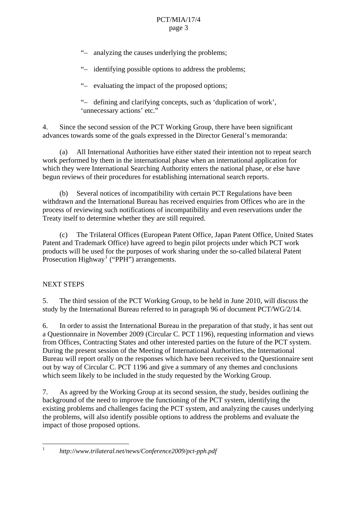#### PCT/MIA/17/4 page 3

- "– analyzing the causes underlying the problems;
- "– identifying possible options to address the problems;
- "– evaluating the impact of the proposed options;

 "– defining and clarifying concepts, such as 'duplication of work', 'unnecessary actions' etc."

4. Since the second session of the PCT Working Group, there have been significant advances towards some of the goals expressed in the Director General's memoranda:

 (a) All International Authorities have either stated their intention not to repeat search work performed by them in the international phase when an international application for which they were International Searching Authority enters the national phase, or else have begun reviews of their procedures for establishing international search reports.

 (b) Several notices of incompatibility with certain PCT Regulations have been withdrawn and the International Bureau has received enquiries from Offices who are in the process of reviewing such notifications of incompatibility and even reservations under the Treaty itself to determine whether they are still required.

 (c) The Trilateral Offices (European Patent Office, Japan Patent Office, United States Patent and Trademark Office) have agreed to begin pilot projects under which PCT work products will be used for the purposes of work sharing under the so-called bilateral Patent Prosecution  $Highway<sup>1</sup>$  $Highway<sup>1</sup>$  $Highway<sup>1</sup>$  ("PPH") arrangements.

## NEXT STEPS

5. The third session of the PCT Working Group, to be held in June 2010, will discuss the study by the International Bureau referred to in paragraph 96 of document PCT/WG/2/14.

6. In order to assist the International Bureau in the preparation of that study, it has sent out a Questionnaire in November 2009 (Circular C. PCT 1196), requesting information and views from Offices, Contracting States and other interested parties on the future of the PCT system. During the present session of the Meeting of International Authorities, the International Bureau will report orally on the responses which have been received to the Questionnaire sent out by way of Circular C. PCT 1196 and give a summary of any themes and conclusions which seem likely to be included in the study requested by the Working Group.

7. As agreed by the Working Group at its second session, the study, besides outlining the background of the need to improve the functioning of the PCT system, identifying the existing problems and challenges facing the PCT system, and analyzing the causes underlying the problems, will also identify possible options to address the problems and evaluate the impact of those proposed options.

<span id="page-2-0"></span> $\frac{1}{1}$ 

*http://www.trilateral.net/news/Conference2009/pct-pph.pdf*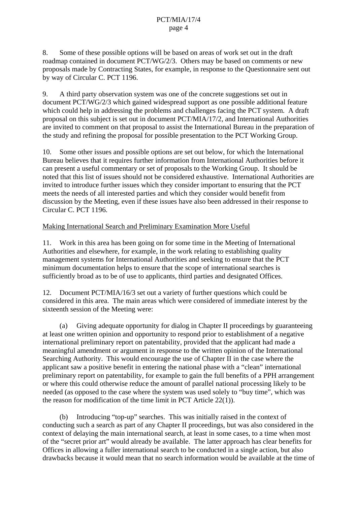8. Some of these possible options will be based on areas of work set out in the draft roadmap contained in document PCT/WG/2/3. Others may be based on comments or new proposals made by Contracting States, for example, in response to the Questionnaire sent out by way of Circular C. PCT 1196.

9. A third party observation system was one of the concrete suggestions set out in document PCT/WG/2/3 which gained widespread support as one possible additional feature which could help in addressing the problems and challenges facing the PCT system. A draft proposal on this subject is set out in document PCT/MIA/17/2, and International Authorities are invited to comment on that proposal to assist the International Bureau in the preparation of the study and refining the proposal for possible presentation to the PCT Working Group.

10. Some other issues and possible options are set out below, for which the International Bureau believes that it requires further information from International Authorities before it can present a useful commentary or set of proposals to the Working Group. It should be noted that this list of issues should not be considered exhaustive. International Authorities are invited to introduce further issues which they consider important to ensuring that the PCT meets the needs of all interested parties and which they consider would benefit from discussion by the Meeting, even if these issues have also been addressed in their response to Circular C. PCT 1196.

#### Making International Search and Preliminary Examination More Useful

11. Work in this area has been going on for some time in the Meeting of International Authorities and elsewhere, for example, in the work relating to establishing quality management systems for International Authorities and seeking to ensure that the PCT minimum documentation helps to ensure that the scope of international searches is sufficiently broad as to be of use to applicants, third parties and designated Offices.

12. Document PCT/MIA/16/3 set out a variety of further questions which could be considered in this area. The main areas which were considered of immediate interest by the sixteenth session of the Meeting were:

 (a) Giving adequate opportunity for dialog in Chapter II proceedings by guaranteeing at least one written opinion and opportunity to respond prior to establishment of a negative international preliminary report on patentability, provided that the applicant had made a meaningful amendment or argument in response to the written opinion of the International Searching Authority. This would encourage the use of Chapter II in the case where the applicant saw a positive benefit in entering the national phase with a "clean" international preliminary report on patentability, for example to gain the full benefits of a PPH arrangement or where this could otherwise reduce the amount of parallel national processing likely to be needed (as opposed to the case where the system was used solely to "buy time", which was the reason for modification of the time limit in PCT Article 22(1)).

 (b) Introducing "top-up" searches. This was initially raised in the context of conducting such a search as part of any Chapter II proceedings, but was also considered in the context of delaying the main international search, at least in some cases, to a time when most of the "secret prior art" would already be available. The latter approach has clear benefits for Offices in allowing a fuller international search to be conducted in a single action, but also drawbacks because it would mean that no search information would be available at the time of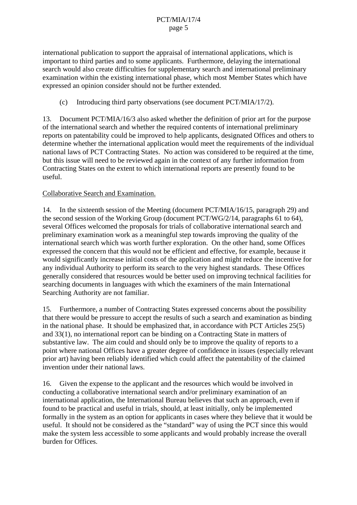international publication to support the appraisal of international applications, which is important to third parties and to some applicants. Furthermore, delaying the international search would also create difficulties for supplementary search and international preliminary examination within the existing international phase, which most Member States which have expressed an opinion consider should not be further extended.

(c) Introducing third party observations (see document PCT/MIA/17/2).

13. Document PCT/MIA/16/3 also asked whether the definition of prior art for the purpose of the international search and whether the required contents of international preliminary reports on patentability could be improved to help applicants, designated Offices and others to determine whether the international application would meet the requirements of the individual national laws of PCT Contracting States. No action was considered to be required at the time, but this issue will need to be reviewed again in the context of any further information from Contracting States on the extent to which international reports are presently found to be useful.

## Collaborative Search and Examination.

14. In the sixteenth session of the Meeting (document PCT/MIA/16/15, paragraph 29) and the second session of the Working Group (document PCT/WG/2/14, paragraphs 61 to 64), several Offices welcomed the proposals for trials of collaborative international search and preliminary examination work as a meaningful step towards improving the quality of the international search which was worth further exploration. On the other hand, some Offices expressed the concern that this would not be efficient and effective, for example, because it would significantly increase initial costs of the application and might reduce the incentive for any individual Authority to perform its search to the very highest standards. These Offices generally considered that resources would be better used on improving technical facilities for searching documents in languages with which the examiners of the main International Searching Authority are not familiar.

15. Furthermore, a number of Contracting States expressed concerns about the possibility that there would be pressure to accept the results of such a search and examination as binding in the national phase. It should be emphasized that, in accordance with PCT Articles 25(5) and 33(1), no international report can be binding on a Contracting State in matters of substantive law. The aim could and should only be to improve the quality of reports to a point where national Offices have a greater degree of confidence in issues (especially relevant prior art) having been reliably identified which could affect the patentability of the claimed invention under their national laws.

16. Given the expense to the applicant and the resources which would be involved in conducting a collaborative international search and/or preliminary examination of an international application, the International Bureau believes that such an approach, even if found to be practical and useful in trials, should, at least initially, only be implemented formally in the system as an option for applicants in cases where they believe that it would be useful. It should not be considered as the "standard" way of using the PCT since this would make the system less accessible to some applicants and would probably increase the overall burden for Offices.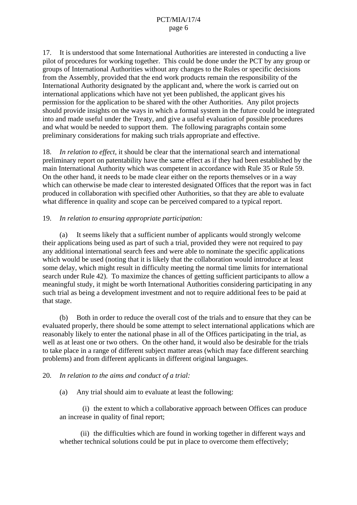17. It is understood that some International Authorities are interested in conducting a live pilot of procedures for working together. This could be done under the PCT by any group or groups of International Authorities without any changes to the Rules or specific decisions from the Assembly, provided that the end work products remain the responsibility of the International Authority designated by the applicant and, where the work is carried out on international applications which have not yet been published, the applicant gives his permission for the application to be shared with the other Authorities. Any pilot projects should provide insights on the ways in which a formal system in the future could be integrated into and made useful under the Treaty, and give a useful evaluation of possible procedures and what would be needed to support them. The following paragraphs contain some preliminary considerations for making such trials appropriate and effective.

18. *In relation to effect*, it should be clear that the international search and international preliminary report on patentability have the same effect as if they had been established by the main International Authority which was competent in accordance with Rule 35 or Rule 59. On the other hand, it needs to be made clear either on the reports themselves or in a way which can otherwise be made clear to interested designated Offices that the report was in fact produced in collaboration with specified other Authorities, so that they are able to evaluate what difference in quality and scope can be perceived compared to a typical report.

## 19. *In relation to ensuring appropriate participation:*

 (a) It seems likely that a sufficient number of applicants would strongly welcome their applications being used as part of such a trial, provided they were not required to pay any additional international search fees and were able to nominate the specific applications which would be used (noting that it is likely that the collaboration would introduce at least some delay, which might result in difficulty meeting the normal time limits for international search under Rule 42). To maximize the chances of getting sufficient participants to allow a meaningful study, it might be worth International Authorities considering participating in any such trial as being a development investment and not to require additional fees to be paid at that stage.

 (b) Both in order to reduce the overall cost of the trials and to ensure that they can be evaluated properly, there should be some attempt to select international applications which are reasonably likely to enter the national phase in all of the Offices participating in the trial, as well as at least one or two others. On the other hand, it would also be desirable for the trials to take place in a range of different subject matter areas (which may face different searching problems) and from different applicants in different original languages.

#### 20. *In relation to the aims and conduct of a trial:*

(a) Any trial should aim to evaluate at least the following:

 (i) the extent to which a collaborative approach between Offices can produce an increase in quality of final report;

 (ii) the difficulties which are found in working together in different ways and whether technical solutions could be put in place to overcome them effectively;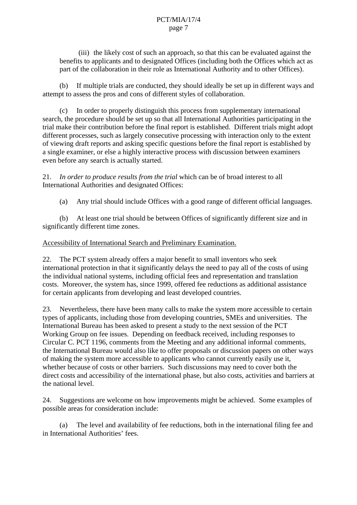(iii) the likely cost of such an approach, so that this can be evaluated against the benefits to applicants and to designated Offices (including both the Offices which act as part of the collaboration in their role as International Authority and to other Offices).

 (b) If multiple trials are conducted, they should ideally be set up in different ways and attempt to assess the pros and cons of different styles of collaboration.

 (c) In order to properly distinguish this process from supplementary international search, the procedure should be set up so that all International Authorities participating in the trial make their contribution before the final report is established. Different trials might adopt different processes, such as largely consecutive processing with interaction only to the extent of viewing draft reports and asking specific questions before the final report is established by a single examiner, or else a highly interactive process with discussion between examiners even before any search is actually started.

21. *In order to produce results from the trial* which can be of broad interest to all International Authorities and designated Offices:

(a) Any trial should include Offices with a good range of different official languages.

 (b) At least one trial should be between Offices of significantly different size and in significantly different time zones.

#### Accessibility of International Search and Preliminary Examination.

22. The PCT system already offers a major benefit to small inventors who seek international protection in that it significantly delays the need to pay all of the costs of using the individual national systems, including official fees and representation and translation costs. Moreover, the system has, since 1999, offered fee reductions as additional assistance for certain applicants from developing and least developed countries.

23. Nevertheless, there have been many calls to make the system more accessible to certain types of applicants, including those from developing countries, SMEs and universities. The International Bureau has been asked to present a study to the next session of the PCT Working Group on fee issues. Depending on feedback received, including responses to Circular C. PCT 1196, comments from the Meeting and any additional informal comments, the International Bureau would also like to offer proposals or discussion papers on other ways of making the system more accessible to applicants who cannot currently easily use it, whether because of costs or other barriers. Such discussions may need to cover both the direct costs and accessibility of the international phase, but also costs, activities and barriers at the national level.

24. Suggestions are welcome on how improvements might be achieved. Some examples of possible areas for consideration include:

 (a) The level and availability of fee reductions, both in the international filing fee and in International Authorities' fees.